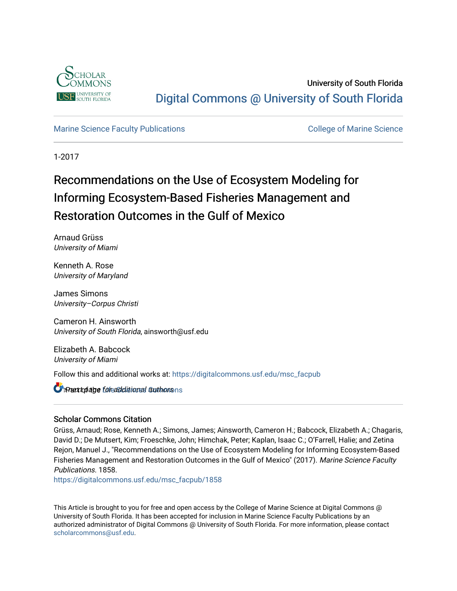

University of South Florida [Digital Commons @ University of South Florida](https://digitalcommons.usf.edu/) 

[Marine Science Faculty Publications](https://digitalcommons.usf.edu/msc_facpub) **College of Marine Science** College of Marine Science

1-2017

# Recommendations on the Use of Ecosystem Modeling for Informing Ecosystem-Based Fisheries Management and Restoration Outcomes in the Gulf of Mexico

Arnaud Grüss University of Miami

Kenneth A. Rose University of Maryland

James Simons University–Corpus Christi

Cameron H. Ainsworth University of South Florida, ainsworth@usf.edu

Elizabeth A. Babcock University of Miami

Follow this and additional works at: [https://digitalcommons.usf.edu/msc\\_facpub](https://digitalcommons.usf.edu/msc_facpub?utm_source=digitalcommons.usf.edu%2Fmsc_facpub%2F1858&utm_medium=PDF&utm_campaign=PDFCoverPages) 

**C** enterto page Life additional authors is

## Scholar Commons Citation

Grüss, Arnaud; Rose, Kenneth A.; Simons, James; Ainsworth, Cameron H.; Babcock, Elizabeth A.; Chagaris, David D.; De Mutsert, Kim; Froeschke, John; Himchak, Peter; Kaplan, Isaac C.; O'Farrell, Halie; and Zetina Rejon, Manuel J., "Recommendations on the Use of Ecosystem Modeling for Informing Ecosystem-Based Fisheries Management and Restoration Outcomes in the Gulf of Mexico" (2017). Marine Science Faculty Publications. 1858.

[https://digitalcommons.usf.edu/msc\\_facpub/1858](https://digitalcommons.usf.edu/msc_facpub/1858?utm_source=digitalcommons.usf.edu%2Fmsc_facpub%2F1858&utm_medium=PDF&utm_campaign=PDFCoverPages) 

This Article is brought to you for free and open access by the College of Marine Science at Digital Commons @ University of South Florida. It has been accepted for inclusion in Marine Science Faculty Publications by an authorized administrator of Digital Commons @ University of South Florida. For more information, please contact [scholarcommons@usf.edu.](mailto:scholarcommons@usf.edu)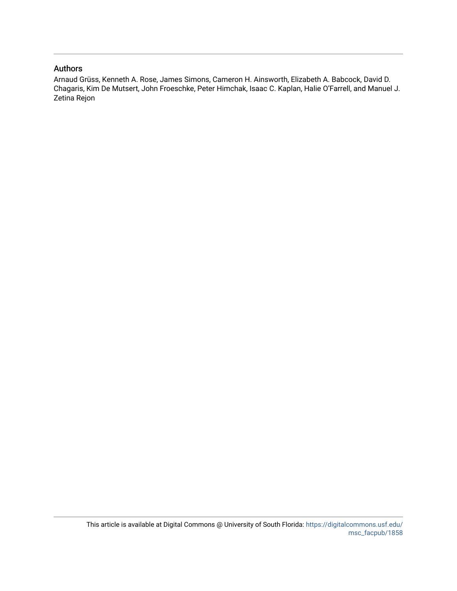## Authors

Arnaud Grüss, Kenneth A. Rose, James Simons, Cameron H. Ainsworth, Elizabeth A. Babcock, David D. Chagaris, Kim De Mutsert, John Froeschke, Peter Himchak, Isaac C. Kaplan, Halie O'Farrell, and Manuel J. Zetina Rejon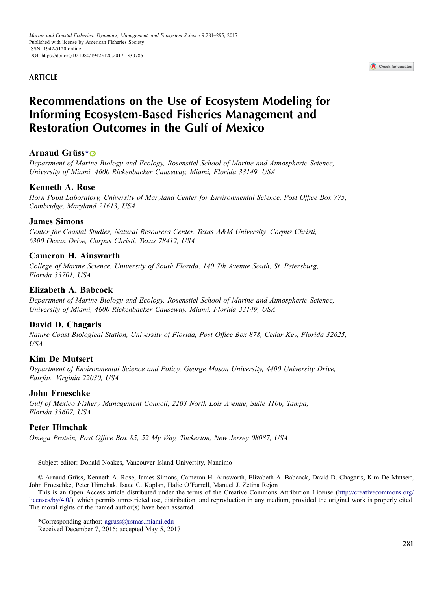#### ARTICLE



## Recommendations on the Use of Ecosystem Modeling for Informing Ecosystem-Based Fisheries Management and Restoration Outcomes in the Gulf of Mexico

## Arnaud Grüss[\\*](#page-2-0)

Department of Marine Biology and Ecology, Rosenstiel School of Marine and Atmospheric Science, University of Miami, 4600 Rickenbacker Causeway, Miami, Florida 33149, USA

## Kenneth A. Rose

Horn Point Laboratory, University of Maryland Center for Environmental Science, Post Office Box 775, Cambridge, Maryland 21613, USA

## James Simons

Center for Coastal Studies, Natural Resources Center, Texas A&M University–Corpus Christi, 6300 Ocean Drive, Corpus Christi, Texas 78412, USA

## Cameron H. Ainsworth

College of Marine Science, University of South Florida, 140 7th Avenue South, St. Petersburg, Florida 33701, USA

## Elizabeth A. Babcock

Department of Marine Biology and Ecology, Rosenstiel School of Marine and Atmospheric Science, University of Miami, 4600 Rickenbacker Causeway, Miami, Florida 33149, USA

## David D. Chagaris

Nature Coast Biological Station, University of Florida, Post Office Box 878, Cedar Key, Florida 32625, USA

## Kim De Mutsert

Department of Environmental Science and Policy, George Mason University, 4400 University Drive, Fairfax, Virginia 22030, USA

## John Froeschke

Gulf of Mexico Fishery Management Council, 2203 North Lois Avenue, Suite 1100, Tampa, Florida 33607, USA

## Peter Himchak

Omega Protein, Post Office Box 85, 52 My Way, Tuckerton, New Jersey 08087, USA

Subject editor: Donald Noakes, Vancouver Island University, Nanaimo

© Arnaud Grüss, Kenneth A. Rose, James Simons, Cameron H. Ainsworth, Elizabeth A. Babcock, David D. Chagaris, Kim De Mutsert, John Froeschke, Peter Himchak, Isaac C. Kaplan, Halie O'Farrell, Manuel J. Zetina Rejon

This is an Open Access article distributed under the terms of the Creative Commons Attribution License [\(http://creativecommons.org/](http://creativecommons.org/licenses/by/4.0/) [licenses/by/4.0/](http://creativecommons.org/licenses/by/4.0/)), which permits unrestricted use, distribution, and reproduction in any medium, provided the original work is properly cited. The moral rights of the named author(s) have been asserted.

<span id="page-2-0"></span>\*Corresponding author: agruss@rsmas.miami.edu

Received December 7, 2016; accepted May 5, 2017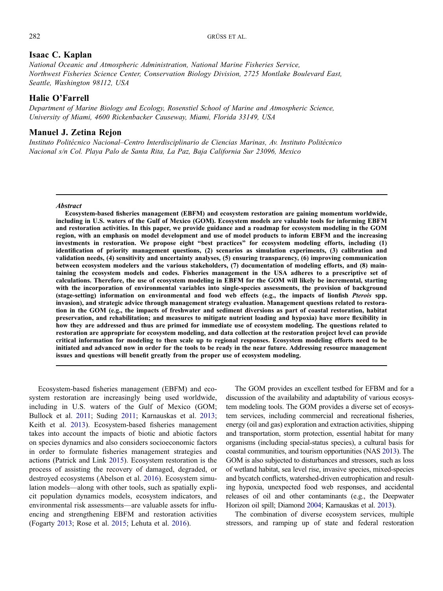## Isaac C. Kaplan

National Oceanic and Atmospheric Administration, National Marine Fisheries Service, Northwest Fisheries Science Center, Conservation Biology Division, 2725 Montlake Boulevard East, Seattle, Washington 98112, USA

## Halie O'Farrell

Department of Marine Biology and Ecology, Rosenstiel School of Marine and Atmospheric Science, University of Miami, 4600 Rickenbacker Causeway, Miami, Florida 33149, USA

## Manuel J. Zetina Rejon

Instituto Politécnico Nacional–Centro Interdisciplinario de Ciencias Marinas, Av. Instituto Politécnico Nacional s/n Col. Playa Palo de Santa Rita, La Paz, Baja California Sur 23096, Mexico

#### **Abstract**

Ecosystem-based fisheries management (EBFM) and ecosystem restoration are gaining momentum worldwide, including in U.S. waters of the Gulf of Mexico (GOM). Ecosystem models are valuable tools for informing EBFM and restoration activities. In this paper, we provide guidance and a roadmap for ecosystem modeling in the GOM region, with an emphasis on model development and use of model products to inform EBFM and the increasing investments in restoration. We propose eight "best practices" for ecosystem modeling efforts, including (1) identification of priority management questions, (2) scenarios as simulation experiments, (3) calibration and validation needs, (4) sensitivity and uncertainty analyses, (5) ensuring transparency, (6) improving communication between ecosystem modelers and the various stakeholders, (7) documentation of modeling efforts, and (8) maintaining the ecosystem models and codes. Fisheries management in the USA adheres to a prescriptive set of calculations. Therefore, the use of ecosystem modeling in EBFM for the GOM will likely be incremental, starting with the incorporation of environmental variables into single-species assessments, the provision of background (stage-setting) information on environmental and food web effects (e.g., the impacts of lionfish Pterois spp. invasion), and strategic advice through management strategy evaluation. Management questions related to restoration in the GOM (e.g., the impacts of freshwater and sediment diversions as part of coastal restoration, habitat preservation, and rehabilitation; and measures to mitigate nutrient loading and hypoxia) have more flexibility in how they are addressed and thus are primed for immediate use of ecosystem modeling. The questions related to restoration are appropriate for ecosystem modeling, and data collection at the restoration project level can provide critical information for modeling to then scale up to regional responses. Ecosystem modeling efforts need to be initiated and advanced now in order for the tools to be ready in the near future. Addressing resource management issues and questions will benefit greatly from the proper use of ecosystem modeling.

Ecosystem-based fisheries management (EBFM) and ecosystem restoration are increasingly being used worldwide, including in U.S. waters of the Gulf of Mexico (GOM; Bullock et al. [2011;](#page-13-0) Suding [2011](#page-16-0); Karnauskas et al. [2013](#page-14-0); Keith et al. [2013\)](#page-14-1). Ecosystem-based fisheries management takes into account the impacts of biotic and abiotic factors on species dynamics and also considers socioeconomic factors in order to formulate fisheries management strategies and actions (Patrick and Link [2015](#page-15-0)). Ecosystem restoration is the process of assisting the recovery of damaged, degraded, or destroyed ecosystems (Abelson et al. [2016\)](#page-13-1). Ecosystem simulation models—along with other tools, such as spatially explicit population dynamics models, ecosystem indicators, and environmental risk assessments—are valuable assets for influencing and strengthening EBFM and restoration activities (Fogarty [2013;](#page-14-2) Rose et al. [2015;](#page-16-1) Lehuta et al. [2016](#page-15-1)).

The GOM provides an excellent testbed for EFBM and for a discussion of the availability and adaptability of various ecosystem modeling tools. The GOM provides a diverse set of ecosystem services, including commercial and recreational fisheries, energy (oil and gas) exploration and extraction activities, shipping and transportation, storm protection, essential habitat for many organisms (including special-status species), a cultural basis for coastal communities, and tourism opportunities (NAS [2013\)](#page-15-2). The GOM is also subjected to disturbances and stressors, such as loss of wetland habitat, sea level rise, invasive species, mixed-species and bycatch conflicts, watershed-driven eutrophication and resulting hypoxia, unexpected food web responses, and accidental releases of oil and other contaminants (e.g., the Deepwater Horizon oil spill; Diamond [2004;](#page-13-2) Karnauskas et al. [2013](#page-14-0)).

The combination of diverse ecosystem services, multiple stressors, and ramping up of state and federal restoration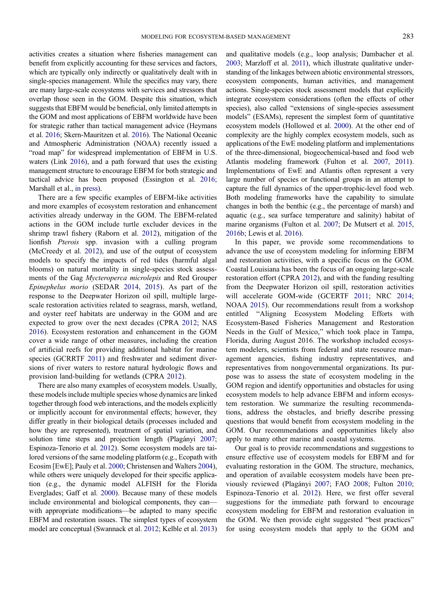activities creates a situation where fisheries management can benefit from explicitly accounting for these services and factors, which are typically only indirectly or qualitatively dealt with in single-species management. While the specifics may vary, there are many large-scale ecosystems with services and stressors that overlap those seen in the GOM. Despite this situation, which suggests that EBFM would be beneficial, only limited attempts in the GOM and most applications of EBFM worldwide have been for strategic rather than tactical management advice (Heymans et al. [2016](#page-14-3); Skern-Mauritzen et al. [2016](#page-16-2)). The National Oceanic and Atmospheric Administration (NOAA) recently issued a "road map" for widespread implementation of EBFM in U.S. waters (Link [2016\)](#page-15-3), and a path forward that uses the existing management structure to encourage EBFM for both strategic and tactical advice has been proposed (Essington et al. [2016](#page-13-3); Marshall et al., [in press](#page-15-4)).

There are a few specific examples of EBFM-like activities and more examples of ecosystem restoration and enhancement activities already underway in the GOM. The EBFM-related actions in the GOM include turtle excluder devices in the shrimp trawl fishery (Raborn et al. [2012](#page-16-3)), mitigation of the lionfish Pterois spp. invasion with a culling program (McCreedy et al. [2012](#page-15-5)), and use of the output of ecosystem models to specify the impacts of red tides (harmful algal blooms) on natural mortality in single-species stock assessments of the Gag Mycteroperca microlepis and Red Grouper Epinephelus morio (SEDAR [2014](#page-16-4), [2015](#page-16-5)). As part of the response to the Deepwater Horizon oil spill, multiple largescale restoration activities related to seagrass, marsh, wetland, and oyster reef habitats are underway in the GOM and are expected to grow over the next decades (CPRA [2012](#page-13-4); NAS [2016](#page-15-6)). Ecosystem restoration and enhancement in the GOM cover a wide range of other measures, including the creation of artificial reefs for providing additional habitat for marine species (GCRRTF [2011](#page-14-4)) and freshwater and sediment diversions of river waters to restore natural hydrologic flows and provision land-building for wetlands (CPRA [2012\)](#page-13-4).

There are also many examples of ecosystem models. Usually, these models include multiple species whose dynamics are linked together through food web interactions, and the models explicitly or implicitly account for environmental effects; however, they differ greatly in their biological details (processes included and how they are represented), treatment of spatial variation, and solution time steps and projection length (Plagányi [2007](#page-15-7); Espinoza-Tenorio et al. [2012\)](#page-13-5). Some ecosystem models are tailored versions of the same modeling platform (e.g., Ecopath with Ecosim [EwE]; Pauly et al. [2000](#page-15-8); Christensen and Walters [2004](#page-13-6)), while others were uniquely developed for their specific application (e.g., the dynamic model ALFISH for the Florida Everglades; Gaff et al. [2000\)](#page-14-5). Because many of these models include environmental and biological components, they can with appropriate modifications—be adapted to many specific EBFM and restoration issues. The simplest types of ecosystem model are conceptual (Swannack et al. [2012;](#page-16-6) Kelble et al. [2013\)](#page-15-9) and qualitative models (e.g., loop analysis; Dambacher et al. [2003;](#page-13-7) Marzloff et al. [2011](#page-15-10)), which illustrate qualitative understanding of the linkages between abiotic environmental stressors, ecosystem components, human activities, and management actions. Single-species stock assessment models that explicitly integrate ecosystem considerations (often the effects of other species), also called "extensions of single-species assessment models" (ESAMs), represent the simplest form of quantitative ecosystem models (Hollowed et al. [2000\)](#page-14-6). At the other end of complexity are the highly complex ecosystem models, such as applications of the EwE modeling platform and implementations of the three-dimensional, biogeochemical-based and food web Atlantis modeling framework (Fulton et al. [2007,](#page-14-7) [2011](#page-14-8)). Implementations of EwE and Atlantis often represent a very large number of species or functional groups in an attempt to capture the full dynamics of the upper-trophic-level food web. Both modeling frameworks have the capability to simulate changes in both the benthic (e.g., the percentage of marsh) and aquatic (e.g., sea surface temperature and salinity) habitat of marine organisms (Fulton et al. [2007](#page-14-7); De Mutsert et al. [2015](#page-13-8), [2016b;](#page-13-9) Lewis et al. [2016\)](#page-15-11).

In this paper, we provide some recommendations to advance the use of ecosystem modeling for informing EBFM and restoration activities, with a specific focus on the GOM. Coastal Louisiana has been the focus of an ongoing large-scale restoration effort (CPRA [2012](#page-13-4)), and with the funding resulting from the Deepwater Horizon oil spill, restoration activities will accelerate GOM-wide (GCERTF [2011](#page-14-4); NRC [2014](#page-15-12); NOAA [2015](#page-15-13)). Our recommendations result from a workshop entitled "Aligning Ecosystem Modeling Efforts with Ecosystem-Based Fisheries Management and Restoration Needs in the Gulf of Mexico," which took place in Tampa, Florida, during August 2016. The workshop included ecosystem modelers, scientists from federal and state resource management agencies, fishing industry representatives, and representatives from nongovernmental organizations. Its purpose was to assess the state of ecosystem modeling in the GOM region and identify opportunities and obstacles for using ecosystem models to help advance EBFM and inform ecosystem restoration. We summarize the resulting recommendations, address the obstacles, and briefly describe pressing questions that would benefit from ecosystem modeling in the GOM. Our recommendations and opportunities likely also apply to many other marine and coastal systems.

Our goal is to provide recommendations and suggestions to ensure effective use of ecosystem models for EBFM and for evaluating restoration in the GOM. The structure, mechanics, and operation of available ecosystem models have been previously reviewed (Plagányi [2007;](#page-15-7) FAO [2008;](#page-13-10) Fulton [2010](#page-14-9); Espinoza-Tenorio et al. [2012\)](#page-13-5). Here, we first offer several suggestions for the immediate path forward to encourage ecosystem modeling for EBFM and restoration evaluation in the GOM. We then provide eight suggested "best practices" for using ecosystem models that apply to the GOM and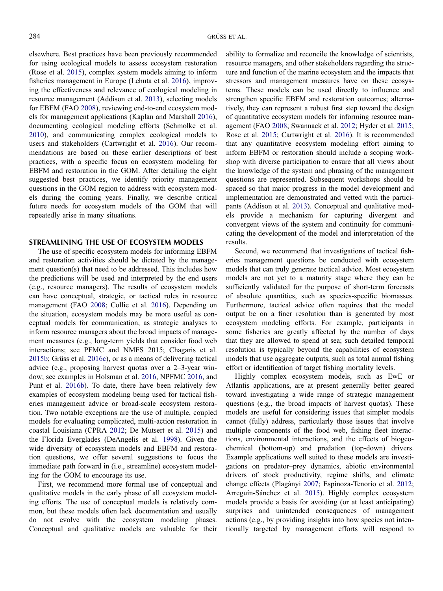elsewhere. Best practices have been previously recommended for using ecological models to assess ecosystem restoration (Rose et al. [2015\)](#page-16-1), complex system models aiming to inform fisheries management in Europe (Lehuta et al. [2016\)](#page-15-1), improving the effectiveness and relevance of ecological modeling in resource management (Addison et al. [2013](#page-13-11)), selecting models for EBFM (FAO [2008](#page-13-10)), reviewing end-to-end ecosystem models for management applications (Kaplan and Marshall [2016](#page-14-10)), documenting ecological modeling efforts (Schmolke et al. [2010](#page-16-7)), and communicating complex ecological models to users and stakeholders (Cartwright et al. [2016\)](#page-13-12). Our recommendations are based on these earlier descriptions of best practices, with a specific focus on ecosystem modeling for EBFM and restoration in the GOM. After detailing the eight suggested best practices, we identify priority management questions in the GOM region to address with ecosystem models during the coming years. Finally, we describe critical future needs for ecosystem models of the GOM that will repeatedly arise in many situations.

#### STREAMLINING THE USE OF ECOSYSTEM MODELS

The use of specific ecosystem models for informing EBFM and restoration activities should be dictated by the management question(s) that need to be addressed. This includes how the predictions will be used and interpreted by the end users (e.g., resource managers). The results of ecosystem models can have conceptual, strategic, or tactical roles in resource management (FAO [2008](#page-13-10); Collie et al. [2016\)](#page-13-13). Depending on the situation, ecosystem models may be more useful as conceptual models for communication, as strategic analyses to inform resource managers about the broad impacts of management measures (e.g., long-term yields that consider food web interactions; see PFMC and NMFS 2015; Chagaris et al. [2015b](#page-13-14); Grüss et al. [2016c](#page-14-11)), or as a means of delivering tactical advice (e.g., proposing harvest quotas over a 2–3-year window; see examples in Holsman et al. [2016](#page-14-12), NPFMC [2016](#page-15-14), and Punt et al. [2016b\)](#page-16-8). To date, there have been relatively few examples of ecosystem modeling being used for tactical fisheries management advice or broad-scale ecosystem restoration. Two notable exceptions are the use of multiple, coupled models for evaluating complicated, multi-action restoration in coastal Louisiana (CPRA [2012](#page-13-4); De Mutsert et al. [2015](#page-13-8)) and the Florida Everglades (DeAngelis et al. [1998](#page-13-15)). Given the wide diversity of ecosystem models and EBFM and restoration questions, we offer several suggestions to focus the immediate path forward in (i.e., streamline) ecosystem modeling for the GOM to encourage its use.

First, we recommend more formal use of conceptual and qualitative models in the early phase of all ecosystem modeling efforts. The use of conceptual models is relatively common, but these models often lack documentation and usually do not evolve with the ecosystem modeling phases. Conceptual and qualitative models are valuable for their ability to formalize and reconcile the knowledge of scientists, resource managers, and other stakeholders regarding the structure and function of the marine ecosystem and the impacts that stressors and management measures have on these ecosystems. These models can be used directly to influence and strengthen specific EBFM and restoration outcomes; alternatively, they can represent a robust first step toward the design of quantitative ecosystem models for informing resource management (FAO [2008;](#page-13-10) Swannack et al. [2012;](#page-16-6) Hyder et al. [2015](#page-14-13); Rose et al. [2015;](#page-16-1) Cartwright et al. [2016\)](#page-13-12). It is recommended that any quantitative ecosystem modeling effort aiming to inform EBFM or restoration should include a scoping workshop with diverse participation to ensure that all views about the knowledge of the system and phrasing of the management questions are represented. Subsequent workshops should be spaced so that major progress in the model development and implementation are demonstrated and vetted with the participants (Addison et al. [2013](#page-13-11)). Conceptual and qualitative models provide a mechanism for capturing divergent and convergent views of the system and continuity for communicating the development of the model and interpretation of the results.

Second, we recommend that investigations of tactical fisheries management questions be conducted with ecosystem models that can truly generate tactical advice. Most ecosystem models are not yet to a maturity stage where they can be sufficiently validated for the purpose of short-term forecasts of absolute quantities, such as species-specific biomasses. Furthermore, tactical advice often requires that the model output be on a finer resolution than is generated by most ecosystem modeling efforts. For example, participants in some fisheries are greatly affected by the number of days that they are allowed to spend at sea; such detailed temporal resolution is typically beyond the capabilities of ecosystem models that use aggregate outputs, such as total annual fishing effort or identification of target fishing mortality levels.

Highly complex ecosystem models, such as EwE or Atlantis applications, are at present generally better geared toward investigating a wide range of strategic management questions (e.g., the broad impacts of harvest quotas). These models are useful for considering issues that simpler models cannot (fully) address, particularly those issues that involve multiple components of the food web, fishing fleet interactions, environmental interactions, and the effects of biogeochemical (bottom-up) and predation (top-down) drivers. Example applications well suited to these models are investigations on predator–prey dynamics, abiotic environmental drivers of stock productivity, regime shifts, and climate change effects (Plagányi [2007](#page-15-7); Espinoza-Tenorio et al. [2012](#page-13-5); Arreguín-Sánchez et al. [2015\)](#page-13-16). Highly complex ecosystem models provide a basis for avoiding (or at least anticipating) surprises and unintended consequences of management actions (e.g., by providing insights into how species not intentionally targeted by management efforts will respond to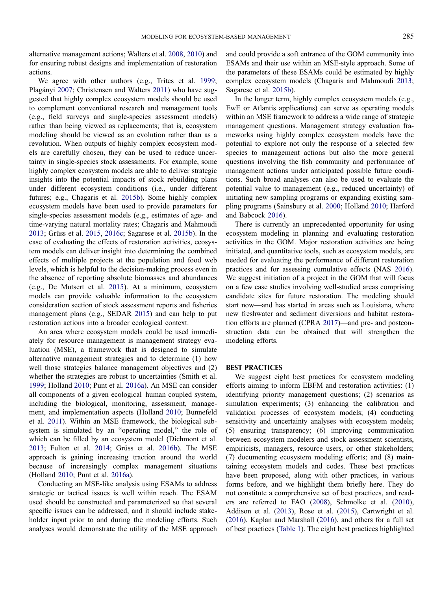alternative management actions; Walters et al. [2008,](#page-16-9) [2010\)](#page-16-10) and for ensuring robust designs and implementation of restoration actions.

We agree with other authors (e.g., Trites et al. [1999](#page-16-11); Plagányi [2007](#page-15-7); Christensen and Walters [2011\)](#page-13-17) who have suggested that highly complex ecosystem models should be used to complement conventional research and management tools (e.g., field surveys and single-species assessment models) rather than being viewed as replacements; that is, ecosystem modeling should be viewed as an evolution rather than as a revolution. When outputs of highly complex ecosystem models are carefully chosen, they can be used to reduce uncertainty in single-species stock assessments. For example, some highly complex ecosystem models are able to deliver strategic insights into the potential impacts of stock rebuilding plans under different ecosystem conditions (i.e., under different futures; e.g., Chagaris et al. [2015b](#page-13-14)). Some highly complex ecosystem models have been used to provide parameters for single-species assessment models (e.g., estimates of age- and time-varying natural mortality rates; Chagaris and Mahmoudi [2013](#page-13-18); Grüss et al. [2015,](#page-14-14) [2016c](#page-14-11); Sagarese et al. [2015b](#page-16-12)). In the case of evaluating the effects of restoration activities, ecosystem models can deliver insight into determining the combined effects of multiple projects at the population and food web levels, which is helpful to the decision-making process even in the absence of reporting absolute biomasses and abundances (e.g., De Mutsert et al. [2015](#page-13-8)). At a minimum, ecosystem models can provide valuable information to the ecosystem consideration section of stock assessment reports and fisheries management plans (e.g., SEDAR [2015\)](#page-16-5) and can help to put restoration actions into a broader ecological context.

An area where ecosystem models could be used immediately for resource management is management strategy evaluation (MSE), a framework that is designed to simulate alternative management strategies and to determine (1) how well those strategies balance management objectives and (2) whether the strategies are robust to uncertainties (Smith et al. [1999](#page-16-13); Holland [2010;](#page-14-15) Punt et al. [2016a](#page-16-14)). An MSE can consider all components of a given ecological–human coupled system, including the biological, monitoring, assessment, management, and implementation aspects (Holland [2010;](#page-14-15) Bunnefeld et al. [2011\)](#page-13-19). Within an MSE framework, the biological subsystem is simulated by an "operating model," the role of which can be filled by an ecosystem model (Dichmont et al. [2013](#page-13-20); Fulton et al. [2014](#page-14-16); Grüss et al. [2016b\)](#page-14-17). The MSE approach is gaining increasing traction around the world because of increasingly complex management situations (Holland [2010;](#page-14-15) Punt et al. [2016a\)](#page-16-14).

Conducting an MSE-like analysis using ESAMs to address strategic or tactical issues is well within reach. The ESAM used should be constructed and parameterized so that several specific issues can be addressed, and it should include stakeholder input prior to and during the modeling efforts. Such analyses would demonstrate the utility of the MSE approach and could provide a soft entrance of the GOM community into ESAMs and their use within an MSE-style approach. Some of the parameters of these ESAMs could be estimated by highly complex ecosystem models (Chagaris and Mahmoudi [2013](#page-13-18); Sagarese et al. [2015b](#page-16-12)).

In the longer term, highly complex ecosystem models (e.g., EwE or Atlantis applications) can serve as operating models within an MSE framework to address a wide range of strategic management questions. Management strategy evaluation frameworks using highly complex ecosystem models have the potential to explore not only the response of a selected few species to management actions but also the more general questions involving the fish community and performance of management actions under anticipated possible future conditions. Such broad analyses can also be used to evaluate the potential value to management (e.g., reduced uncertainty) of initiating new sampling programs or expanding existing sampling programs (Sainsbury et al. [2000;](#page-16-15) Holland [2010;](#page-14-15) Harford and Babcock [2016](#page-14-18)).

There is currently an unprecedented opportunity for using ecosystem modeling in planning and evaluating restoration activities in the GOM. Major restoration activities are being initiated, and quantitative tools, such as ecosystem models, are needed for evaluating the performance of different restoration practices and for assessing cumulative effects (NAS [2016](#page-15-6)). We suggest initiation of a project in the GOM that will focus on a few case studies involving well-studied areas comprising candidate sites for future restoration. The modeling should start now—and has started in areas such as Louisiana, where new freshwater and sediment diversions and habitat restoration efforts are planned (CPRA [2017](#page-13-21))—and pre- and postconstruction data can be obtained that will strengthen the modeling efforts.

#### BEST PRACTICES

We suggest eight best practices for ecosystem modeling efforts aiming to inform EBFM and restoration activities: (1) identifying priority management questions; (2) scenarios as simulation experiments; (3) enhancing the calibration and validation processes of ecosystem models; (4) conducting sensitivity and uncertainty analyses with ecosystem models; (5) ensuring transparency; (6) improving communication between ecosystem modelers and stock assessment scientists, empiricists, managers, resource users, or other stakeholders; (7) documenting ecosystem modeling efforts; and (8) maintaining ecosystem models and codes. These best practices have been proposed, along with other practices, in various forms before, and we highlight them briefly here. They do not constitute a comprehensive set of best practices, and readers are referred to FAO [\(2008](#page-13-10)), Schmolke et al. [\(2010](#page-16-7)), Addison et al. ([2013\)](#page-13-11), Rose et al. [\(2015](#page-16-1)), Cartwright et al. [\(2016](#page-13-12)), Kaplan and Marshall [\(2016](#page-14-10)), and others for a full set of best practices [\(Table 1\)](#page-7-0). The eight best practices highlighted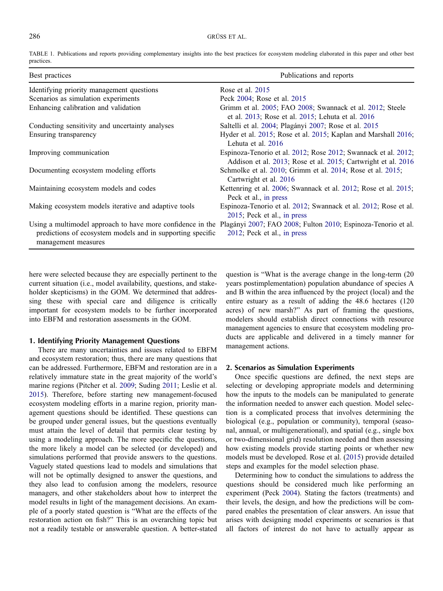| Best practices                                                                    | Publications and reports                                                                                                                                |
|-----------------------------------------------------------------------------------|---------------------------------------------------------------------------------------------------------------------------------------------------------|
| Identifying priority management questions                                         | Rose et al. 2015                                                                                                                                        |
| Scenarios as simulation experiments                                               | Peck 2004; Rose et al. 2015                                                                                                                             |
| Enhancing calibration and validation                                              | Grimm et al. 2005; FAO 2008; Swannack et al. 2012; Steele<br>et al. 2013; Rose et al. 2015; Lehuta et al. 2016                                          |
| Conducting sensitivity and uncertainty analyses                                   | Saltelli et al. 2004; Plagányi 2007; Rose et al. 2015                                                                                                   |
| Ensuring transparency                                                             | Hyder et al. 2015; Rose et al. 2015; Kaplan and Marshall 2016;<br>Lehuta et al. 2016                                                                    |
| Improving communication                                                           | Espinoza-Tenorio et al. 2012; Rose 2012; Swannack et al. 2012;<br>Addison et al. 2013; Rose et al. 2015; Cartwright et al. 2016                         |
| Documenting ecosystem modeling efforts                                            | Schmolke et al. 2010; Grimm et al. 2014; Rose et al. 2015;<br>Cartwright et al. 2016                                                                    |
| Maintaining ecosystem models and codes                                            | Kettenring et al. 2006; Swannack et al. 2012; Rose et al. 2015;<br>Peck et al., in press                                                                |
| Making ecosystem models iterative and adaptive tools                              | Espinoza-Tenorio et al. 2012; Swannack et al. 2012; Rose et al.<br>2015; Peck et al., in press                                                          |
| predictions of ecosystem models and in supporting specific<br>management measures | Using a multimodel approach to have more confidence in the Plagányi 2007; FAO 2008; Fulton 2010; Espinoza-Tenorio et al.<br>2012; Peck et al., in press |

<span id="page-7-0"></span>TABLE 1. Publications and reports providing complementary insights into the best practices for ecosystem modeling elaborated in this paper and other best practices.

here were selected because they are especially pertinent to the current situation (i.e., model availability, questions, and stakeholder skepticisms) in the GOM. We determined that addressing these with special care and diligence is critically important for ecosystem models to be further incorporated into EBFM and restoration assessments in the GOM.

#### 1. Identifying Priority Management Questions

There are many uncertainties and issues related to EBFM and ecosystem restoration; thus, there are many questions that can be addressed. Furthermore, EBFM and restoration are in a relatively immature state in the great majority of the world's marine regions (Pitcher et al. [2009](#page-15-15); Suding [2011](#page-16-0); Leslie et al. [2015](#page-15-16)). Therefore, before starting new management-focused ecosystem modeling efforts in a marine region, priority management questions should be identified. These questions can be grouped under general issues, but the questions eventually must attain the level of detail that permits clear testing by using a modeling approach. The more specific the questions, the more likely a model can be selected (or developed) and simulations performed that provide answers to the questions. Vaguely stated questions lead to models and simulations that will not be optimally designed to answer the questions, and they also lead to confusion among the modelers, resource managers, and other stakeholders about how to interpret the model results in light of the management decisions. An example of a poorly stated question is "What are the effects of the restoration action on fish?" This is an overarching topic but not a readily testable or answerable question. A better-stated question is "What is the average change in the long-term (20 years postimplementation) population abundance of species A and B within the area influenced by the project (local) and the entire estuary as a result of adding the 48.6 hectares (120 acres) of new marsh?" As part of framing the questions, modelers should establish direct connections with resource management agencies to ensure that ecosystem modeling products are applicable and delivered in a timely manner for management actions.

#### 2. Scenarios as Simulation Experiments

Once specific questions are defined, the next steps are selecting or developing appropriate models and determining how the inputs to the models can be manipulated to generate the information needed to answer each question. Model selection is a complicated process that involves determining the biological (e.g., population or community), temporal (seasonal, annual, or multigenerational), and spatial (e.g., single box or two-dimensional grid) resolution needed and then assessing how existing models provide starting points or whether new models must be developed. Rose et al. ([2015\)](#page-16-1) provide detailed steps and examples for the model selection phase.

Determining how to conduct the simulations to address the questions should be considered much like performing an experiment (Peck [2004\)](#page-15-17). Stating the factors (treatments) and their levels, the design, and how the predictions will be compared enables the presentation of clear answers. An issue that arises with designing model experiments or scenarios is that all factors of interest do not have to actually appear as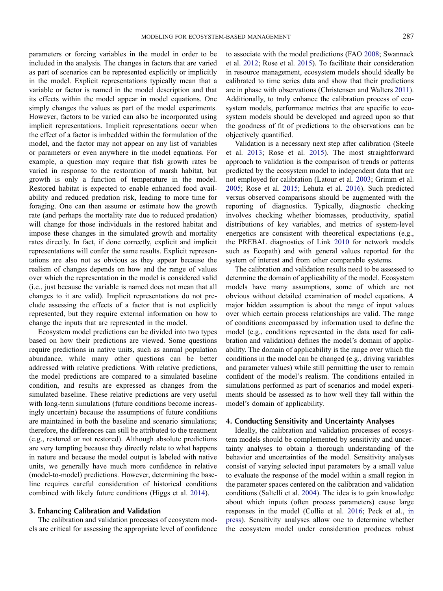parameters or forcing variables in the model in order to be included in the analysis. The changes in factors that are varied as part of scenarios can be represented explicitly or implicitly in the model. Explicit representations typically mean that a variable or factor is named in the model description and that its effects within the model appear in model equations. One simply changes the values as part of the model experiments. However, factors to be varied can also be incorporated using implicit representations. Implicit representations occur when the effect of a factor is imbedded within the formulation of the model, and the factor may not appear on any list of variables or parameters or even anywhere in the model equations. For example, a question may require that fish growth rates be varied in response to the restoration of marsh habitat, but growth is only a function of temperature in the model. Restored habitat is expected to enable enhanced food availability and reduced predation risk, leading to more time for foraging. One can then assume or estimate how the growth rate (and perhaps the mortality rate due to reduced predation) will change for those individuals in the restored habitat and impose these changes in the simulated growth and mortality rates directly. In fact, if done correctly, explicit and implicit representations will confer the same results. Explicit representations are also not as obvious as they appear because the realism of changes depends on how and the range of values over which the representation in the model is considered valid (i.e., just because the variable is named does not mean that all changes to it are valid). Implicit representations do not preclude assessing the effects of a factor that is not explicitly represented, but they require external information on how to change the inputs that are represented in the model.

Ecosystem model predictions can be divided into two types based on how their predictions are viewed. Some questions require predictions in native units, such as annual population abundance, while many other questions can be better addressed with relative predictions. With relative predictions, the model predictions are compared to a simulated baseline condition, and results are expressed as changes from the simulated baseline. These relative predictions are very useful with long-term simulations (future conditions become increasingly uncertain) because the assumptions of future conditions are maintained in both the baseline and scenario simulations; therefore, the differences can still be attributed to the treatment (e.g., restored or not restored). Although absolute predictions are very tempting because they directly relate to what happens in nature and because the model output is labeled with native units, we generally have much more confidence in relative (model-to-model) predictions. However, determining the baseline requires careful consideration of historical conditions combined with likely future conditions (Higgs et al. [2014](#page-14-21)).

#### 3. Enhancing Calibration and Validation

The calibration and validation processes of ecosystem models are critical for assessing the appropriate level of confidence to associate with the model predictions (FAO [2008](#page-13-10); Swannack et al. [2012](#page-16-6); Rose et al. [2015\)](#page-16-1). To facilitate their consideration in resource management, ecosystem models should ideally be calibrated to time series data and show that their predictions are in phase with observations (Christensen and Walters [2011](#page-13-17)). Additionally, to truly enhance the calibration process of ecosystem models, performance metrics that are specific to ecosystem models should be developed and agreed upon so that the goodness of fit of predictions to the observations can be objectively quantified.

Validation is a necessary next step after calibration (Steele et al. [2013;](#page-16-16) Rose et al. [2015\)](#page-16-1). The most straightforward approach to validation is the comparison of trends or patterns predicted by the ecosystem model to independent data that are not employed for calibration (Latour et al. [2003](#page-15-20); Grimm et al. [2005;](#page-14-19) Rose et al. [2015](#page-16-1); Lehuta et al. [2016\)](#page-15-1). Such predicted versus observed comparisons should be augmented with the reporting of diagnostics. Typically, diagnostic checking involves checking whether biomasses, productivity, spatial distributions of key variables, and metrics of system-level energetics are consistent with theoretical expectations (e.g., the PREBAL diagnostics of Link [2010](#page-15-21) for network models such as Ecopath) and with general values reported for the system of interest and from other comparable systems.

The calibration and validation results need to be assessed to determine the domain of applicability of the model. Ecosystem models have many assumptions, some of which are not obvious without detailed examination of model equations. A major hidden assumption is about the range of input values over which certain process relationships are valid. The range of conditions encompassed by information used to define the model (e.g., conditions represented in the data used for calibration and validation) defines the model's domain of applicability. The domain of applicability is the range over which the conditions in the model can be changed (e.g., driving variables and parameter values) while still permitting the user to remain confident of the model's realism. The conditions entailed in simulations performed as part of scenarios and model experiments should be assessed as to how well they fall within the model's domain of applicability.

#### 4. Conducting Sensitivity and Uncertainty Analyses

Ideally, the calibration and validation processes of ecosystem models should be complemented by sensitivity and uncertainty analyses to obtain a thorough understanding of the behavior and uncertainties of the model. Sensitivity analyses consist of varying selected input parameters by a small value to evaluate the response of the model within a small region in the parameter spaces centered on the calibration and validation conditions (Saltelli et al. [2004\)](#page-16-17). The idea is to gain knowledge about which inputs (often process parameters) cause large responses in the model (Collie et al. [2016;](#page-13-13) Peck et al., [in](#page-15-19) [press\)](#page-15-19). Sensitivity analyses allow one to determine whether the ecosystem model under consideration produces robust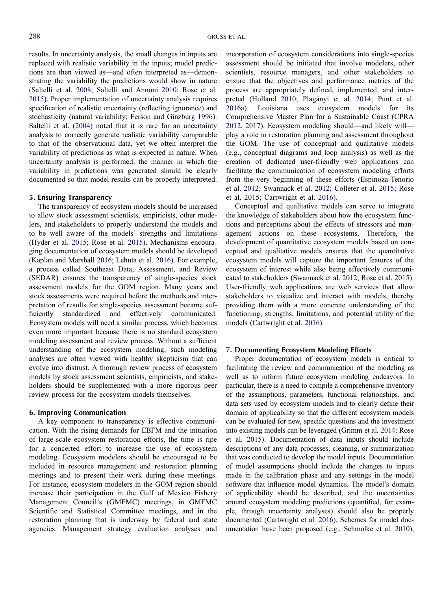results. In uncertainty analysis, the small changes in inputs are replaced with realistic variability in the inputs; model predictions are then viewed as—and often interpreted as—demonstrating the variability the predictions would show in nature (Saltelli et al. [2008](#page-16-19); Saltelli and Annoni [2010;](#page-16-20) Rose et al. [2015](#page-16-1)). Proper implementation of uncertainty analysis requires specification of realistic uncertainty (reflecting ignorance) and stochasticity (natural variability; Ferson and Ginzburg [1996](#page-14-22)). Saltelli et al. ([2004\)](#page-16-17) noted that it is rare for an uncertainty analysis to correctly generate realistic variability comparable to that of the observational data, yet we often interpret the variability of predictions as what is expected in nature. When uncertainty analysis is performed, the manner in which the variability in predictions was generated should be clearly documented so that model results can be properly interpreted.

#### 5. Ensuring Transparency

The transparency of ecosystem models should be increased to allow stock assessment scientists, empiricists, other modelers, and stakeholders to properly understand the models and to be well aware of the models' strengths and limitations (Hyder et al. [2015](#page-14-13); Rose et al. [2015\)](#page-16-1). Mechanisms encouraging documentation of ecosystem models should be developed (Kaplan and Marshall [2016;](#page-14-10) Lehuta et al. [2016](#page-15-1)). For example, a process called Southeast Data, Assessment, and Review (SEDAR) ensures the transparency of single-species stock assessment models for the GOM region. Many years and stock assessments were required before the methods and interpretation of results for single-species assessment became sufficiently standardized and effectively communicated. Ecosystem models will need a similar process, which becomes even more important because there is no standard ecosystem modeling assessment and review process. Without a sufficient understanding of the ecosystem modeling, such modeling analyses are often viewed with healthy skepticism that can evolve into distrust. A thorough review process of ecosystem models by stock assessment scientists, empiricists, and stakeholders should be supplemented with a more rigorous peer review process for the ecosystem models themselves.

#### 6. Improving Communication

A key component to transparency is effective communication. With the rising demands for EBFM and the initiation of large-scale ecosystem restoration efforts, the time is ripe for a concerted effort to increase the use of ecosystem modeling. Ecosystem modelers should be encouraged to be included in resource management and restoration planning meetings and to present their work during these meetings. For instance, ecosystem modelers in the GOM region should increase their participation in the Gulf of Mexico Fishery Management Council's (GMFMC) meetings, in GMFMC Scientific and Statistical Committee meetings, and in the restoration planning that is underway by federal and state agencies. Management strategy evaluation analyses and incorporation of ecosystem considerations into single-species assessment should be initiated that involve modelers, other scientists, resource managers, and other stakeholders to ensure that the objectives and performance metrics of the process are appropriately defined, implemented, and interpreted (Holland [2010;](#page-14-15) Plagányi et al. [2014;](#page-15-22) Punt et al. [2016a\)](#page-16-14). Louisiana uses ecosystem models for its Comprehensive Master Plan for a Sustainable Coast (CPRA [2012](#page-13-4), [2017](#page-13-21)). Ecosystem modeling should—and likely will play a role in restoration planning and assessment throughout the GOM. The use of conceptual and qualitative models (e.g., conceptual diagrams and loop analysis) as well as the creation of dedicated user-friendly web applications can facilitate the communication of ecosystem modeling efforts from the very beginning of these efforts (Espinoza-Tenorio et al. [2012](#page-13-5); Swannack et al. [2012](#page-16-6); Colléter et al. [2015;](#page-13-22) Rose et al. [2015;](#page-16-1) Cartwright et al. [2016\)](#page-13-12).

Conceptual and qualitative models can serve to integrate the knowledge of stakeholders about how the ecosystem functions and perceptions about the effects of stressors and management actions on these ecosystems. Therefore, the development of quantitative ecosystem models based on conceptual and qualitative models ensures that the quantitative ecosystem models will capture the important features of the ecosystem of interest while also being effectively communicated to stakeholders (Swannack et al. [2012;](#page-16-6) Rose et al. [2015](#page-16-1)). User-friendly web applications are web services that allow stakeholders to visualize and interact with models, thereby providing them with a more concrete understanding of the functioning, strengths, limitations, and potential utility of the models (Cartwright et al. [2016\)](#page-13-12).

#### 7. Documenting Ecosystem Modeling Efforts

Proper documentation of ecosystem models is critical to facilitating the review and communication of the modeling as well as to inform future ecosystem modeling endeavors. In particular, there is a need to compile a comprehensive inventory of the assumptions, parameters, functional relationships, and data sets used by ecosystem models and to clearly define their domain of applicability so that the different ecosystem models can be evaluated for new, specific questions and the investment into existing models can be leveraged (Grimm et al. [2014;](#page-14-20) Rose et al. [2015\)](#page-16-1). Documentation of data inputs should include descriptions of any data processes, cleaning, or summarization that was conducted to develop the model inputs. Documentation of model assumptions should include the changes to inputs made in the calibration phase and any settings in the model software that influence model dynamics. The model's domain of applicability should be described, and the uncertainties around ecosystem modeling predictions (quantified, for example, through uncertainty analyses) should also be properly documented (Cartwright et al. [2016\)](#page-13-12). Schemes for model documentation have been proposed (e.g., Schmolke et al. [2010](#page-16-7)),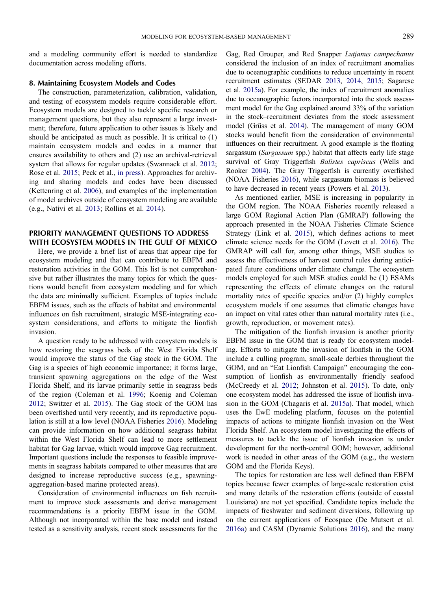and a modeling community effort is needed to standardize documentation across modeling efforts.

#### 8. Maintaining Ecosystem Models and Codes

The construction, parameterization, calibration, validation, and testing of ecosystem models require considerable effort. Ecosystem models are designed to tackle specific research or management questions, but they also represent a large investment; therefore, future application to other issues is likely and should be anticipated as much as possible. It is critical to (1) maintain ecosystem models and codes in a manner that ensures availability to others and (2) use an archival-retrieval system that allows for regular updates (Swannack et al. [2012](#page-16-6); Rose et al. [2015;](#page-16-1) Peck et al., [in press\)](#page-15-19). Approaches for archiving and sharing models and codes have been discussed (Kettenring et al. [2006](#page-15-18)), and examples of the implementation of model archives outside of ecosystem modeling are available (e.g., Nativi et al. [2013](#page-15-23); Rollins et al. [2014](#page-16-21)).

## PRIORITY MANAGEMENT QUESTIONS TO ADDRESS WITH ECOSYSTEM MODELS IN THE GULF OF MEXICO

Here, we provide a brief list of areas that appear ripe for ecosystem modeling and that can contribute to EBFM and restoration activities in the GOM. This list is not comprehensive but rather illustrates the many topics for which the questions would benefit from ecosystem modeling and for which the data are minimally sufficient. Examples of topics include EBFM issues, such as the effects of habitat and environmental influences on fish recruitment, strategic MSE-integrating ecosystem considerations, and efforts to mitigate the lionfish invasion.

A question ready to be addressed with ecosystem models is how restoring the seagrass beds of the West Florida Shelf would improve the status of the Gag stock in the GOM. The Gag is a species of high economic importance; it forms large, transient spawning aggregations on the edge of the West Florida Shelf, and its larvae primarily settle in seagrass beds of the region (Coleman et al. [1996;](#page-13-23) Koenig and Coleman [2012;](#page-15-24) Switzer et al. [2015\)](#page-16-22). The Gag stock of the GOM has been overfished until very recently, and its reproductive population is still at a low level (NOAA Fisheries [2016](#page-15-25)). Modeling can provide information on how additional seagrass habitat within the West Florida Shelf can lead to more settlement habitat for Gag larvae, which would improve Gag recruitment. Important questions include the responses to feasible improvements in seagrass habitats compared to other measures that are designed to increase reproductive success (e.g., spawningaggregation-based marine protected areas).

Consideration of environmental influences on fish recruitment to improve stock assessments and derive management recommendations is a priority EBFM issue in the GOM. Although not incorporated within the base model and instead tested as a sensitivity analysis, recent stock assessments for the Gag, Red Grouper, and Red Snapper Lutjanus campechanus considered the inclusion of an index of recruitment anomalies due to oceanographic conditions to reduce uncertainty in recent recruitment estimates (SEDAR [2013](#page-16-23), [2014](#page-16-4), [2015;](#page-16-5) Sagarese et al. [2015a](#page-16-24)). For example, the index of recruitment anomalies due to oceanographic factors incorporated into the stock assessment model for the Gag explained around 33% of the variation in the stock–recruitment deviates from the stock assessment model (Grüss et al. [2014\)](#page-14-23). The management of many GOM stocks would benefit from the consideration of environmental influences on their recruitment. A good example is the floating sargassum (Sargassum spp.) habitat that affects early life stage survival of Gray Triggerfish Balistes capriscus (Wells and Rooker [2004\)](#page-16-25). The Gray Triggerfish is currently overfished (NOAA Fisheries [2016\)](#page-15-25), while sargassum biomass is believed to have decreased in recent years (Powers et al. [2013](#page-15-26)).

As mentioned earlier, MSE is increasing in popularity in the GOM region. The NOAA Fisheries recently released a large GOM Regional Action Plan (GMRAP) following the approach presented in the NOAA Fisheries Climate Science Strategy (Link et al. [2015\)](#page-15-27), which defines actions to meet climate science needs for the GOM (Lovett et al. [2016](#page-15-28)). The GMRAP will call for, among other things, MSE studies to assess the effectiveness of harvest control rules during anticipated future conditions under climate change. The ecosystem models employed for such MSE studies could be (1) ESAMs representing the effects of climate changes on the natural mortality rates of specific species and/or (2) highly complex ecosystem models if one assumes that climatic changes have an impact on vital rates other than natural mortality rates (i.e., growth, reproduction, or movement rates).

The mitigation of the lionfish invasion is another priority EBFM issue in the GOM that is ready for ecosystem modeling. Efforts to mitigate the invasion of lionfish in the GOM include a culling program, small-scale derbies throughout the GOM, and an "Eat Lionfish Campaign" encouraging the consumption of lionfish as environmentally friendly seafood (McCreedy et al. [2012;](#page-15-5) Johnston et al. [2015](#page-14-24)). To date, only one ecosystem model has addressed the issue of lionfish invasion in the GOM (Chagaris et al. [2015a](#page-13-24)). That model, which uses the EwE modeling platform, focuses on the potential impacts of actions to mitigate lionfish invasion on the West Florida Shelf. An ecosystem model investigating the effects of measures to tackle the issue of lionfish invasion is under development for the north-central GOM; however, additional work is needed in other areas of the GOM (e.g., the western GOM and the Florida Keys).

The topics for restoration are less well defined than EBFM topics because fewer examples of large-scale restoration exist and many details of the restoration efforts (outside of coastal Louisiana) are not yet specified. Candidate topics include the impacts of freshwater and sediment diversions, following up on the current applications of Ecospace (De Mutsert et al. [2016a](#page-13-25)) and CASM (Dynamic Solutions [2016](#page-13-26)), and the many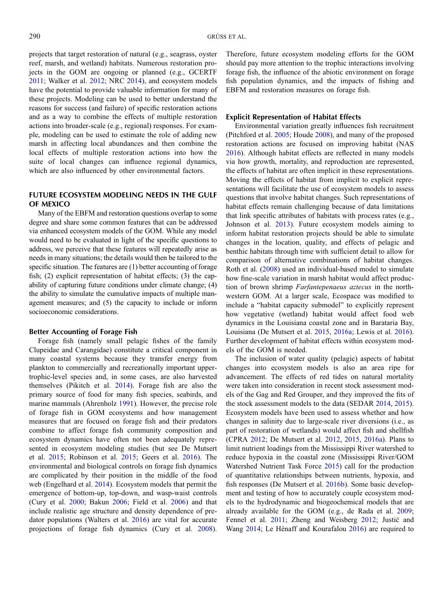projects that target restoration of natural (e.g., seagrass, oyster reef, marsh, and wetland) habitats. Numerous restoration projects in the GOM are ongoing or planned (e.g., GCERTF [2011;](#page-14-4) Walker et al. [2012](#page-16-26); NRC [2014](#page-15-12)), and ecosystem models have the potential to provide valuable information for many of these projects. Modeling can be used to better understand the reasons for success (and failure) of specific restoration actions and as a way to combine the effects of multiple restoration actions into broader-scale (e.g., regional) responses. For example, modeling can be used to estimate the role of adding new marsh in affecting local abundances and then combine the local effects of multiple restoration actions into how the suite of local changes can influence regional dynamics, which are also influenced by other environmental factors.

## FUTURE ECOSYSTEM MODELING NEEDS IN THE GULF OF MEXICO

Many of the EBFM and restoration questions overlap to some degree and share some common features that can be addressed via enhanced ecosystem models of the GOM. While any model would need to be evaluated in light of the specific questions to address, we perceive that these features will repeatedly arise as needs in many situations; the details would then be tailored to the specific situation. The features are (1) better accounting of forage fish; (2) explicit representation of habitat effects; (3) the capability of capturing future conditions under climate change; (4) the ability to simulate the cumulative impacts of multiple management measures; and (5) the capacity to include or inform socioeconomic considerations.

#### Better Accounting of Forage Fish

Forage fish (namely small pelagic fishes of the family Clupeidae and Carangidae) constitute a critical component in many coastal systems because they transfer energy from plankton to commercially and recreationally important uppertrophic-level species and, in some cases, are also harvested themselves (Pikitch et al. [2014](#page-15-29)). Forage fish are also the primary source of food for many fish species, seabirds, and marine mammals (Ahrenholz [1991](#page-13-27)). However, the precise role of forage fish in GOM ecosystems and how management measures that are focused on forage fish and their predators combine to affect forage fish community composition and ecosystem dynamics have often not been adequately represented in ecosystem modeling studies (but see De Mutsert et al. [2015](#page-13-8); Robinson et al. [2015;](#page-16-27) Geers et al. [2016\)](#page-14-25). The environmental and biological controls on forage fish dynamics are complicated by their position in the middle of the food web (Engelhard et al. [2014](#page-13-28)). Ecosystem models that permit the emergence of bottom-up, top-down, and wasp-waist controls (Cury et al. [2000;](#page-13-29) Bakun [2006;](#page-13-30) Field et al. [2006](#page-14-26)) and that include realistic age structure and density dependence of predator populations (Walters et al. [2016\)](#page-16-28) are vital for accurate projections of forage fish dynamics (Cury et al. [2008](#page-13-31)). Therefore, future ecosystem modeling efforts for the GOM should pay more attention to the trophic interactions involving forage fish, the influence of the abiotic environment on forage fish population dynamics, and the impacts of fishing and EBFM and restoration measures on forage fish.

#### Explicit Representation of Habitat Effects

Environmental variation greatly influences fish recruitment (Pitchford et al. [2005](#page-15-30); Houde [2008\)](#page-14-27), and many of the proposed restoration actions are focused on improving habitat (NAS [2016\)](#page-15-6). Although habitat effects are reflected in many models via how growth, mortality, and reproduction are represented, the effects of habitat are often implicit in these representations. Moving the effects of habitat from implicit to explicit representations will facilitate the use of ecosystem models to assess questions that involve habitat changes. Such representations of habitat effects remain challenging because of data limitations that link specific attributes of habitats with process rates (e.g., Johnson et al. [2013](#page-14-28)). Future ecosystem models aiming to inform habitat restoration projects should be able to simulate changes in the location, quality, and effects of pelagic and benthic habitats through time with sufficient detail to allow for comparison of alternative combinations of habitat changes. Roth et al. ([2008\)](#page-16-29) used an individual-based model to simulate how fine-scale variation in marsh habitat would affect production of brown shrimp Farfantepenaeus aztecus in the northwestern GOM. At a larger scale, Ecospace was modified to include a "habitat capacity submodel" to explicitly represent how vegetative (wetland) habitat would affect food web dynamics in the Louisiana coastal zone and in Barataria Bay, Louisiana (De Mutsert et al. [2015,](#page-13-8) [2016a;](#page-13-25) Lewis et al. [2016](#page-15-11)). Further development of habitat effects within ecosystem models of the GOM is needed.

The inclusion of water quality (pelagic) aspects of habitat changes into ecosystem models is also an area ripe for advancement. The effects of red tides on natural mortality were taken into consideration in recent stock assessment models of the Gag and Red Grouper, and they improved the fits of the stock assessment models to the data (SEDAR [2014,](#page-16-4) [2015](#page-16-5)). Ecosystem models have been used to assess whether and how changes in salinity due to large-scale river diversions (i.e., as part of restoration of wetlands) would affect fish and shellfish (CPRA [2012;](#page-13-4) De Mutsert et al. [2012](#page-13-32), [2015](#page-13-8), [2016a\)](#page-13-25). Plans to limit nutrient loadings from the Mississippi River watershed to reduce hypoxia in the coastal zone (Mississippi River/GOM Watershed Nutrient Task Force [2015\)](#page-15-31) call for the production of quantitative relationships between nutrients, hypoxia, and fish responses (De Mutsert et al. [2016b](#page-13-9)). Some basic development and testing of how to accurately couple ecosystem models to the hydrodynamic and biogeochemical models that are already available for the GOM (e.g., de Rada et al. [2009](#page-13-33); Fennel et al. [2011;](#page-14-29) Zheng and Weisberg [2012](#page-16-30); Justić and Wang [2014;](#page-14-30) Le Hénaff and Kourafalou [2016\)](#page-15-32) are required to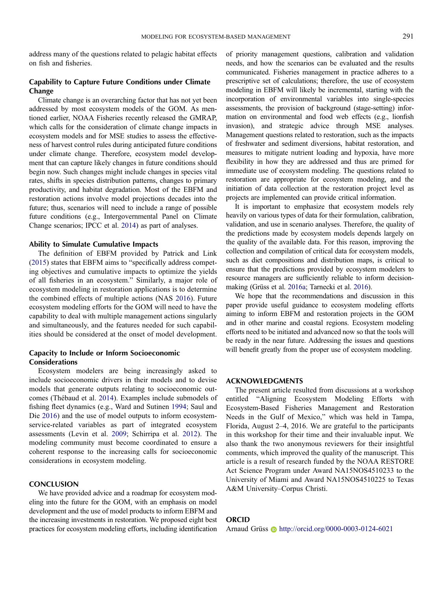address many of the questions related to pelagic habitat effects on fish and fisheries.

## Capability to Capture Future Conditions under Climate **Change**

Climate change is an overarching factor that has not yet been addressed by most ecosystem models of the GOM. As mentioned earlier, NOAA Fisheries recently released the GMRAP, which calls for the consideration of climate change impacts in ecosystem models and for MSE studies to assess the effectiveness of harvest control rules during anticipated future conditions under climate change. Therefore, ecosystem model development that can capture likely changes in future conditions should begin now. Such changes might include changes in species vital rates, shifts in species distribution patterns, changes to primary productivity, and habitat degradation. Most of the EBFM and restoration actions involve model projections decades into the future; thus, scenarios will need to include a range of possible future conditions (e.g., Intergovernmental Panel on Climate Change scenarios; IPCC et al. [2014](#page-14-31)) as part of analyses.

#### Ability to Simulate Cumulative Impacts

The definition of EBFM provided by Patrick and Link [\(2015](#page-15-0)) states that EBFM aims to "specifically address competing objectives and cumulative impacts to optimize the yields of all fisheries in an ecosystem." Similarly, a major role of ecosystem modeling in restoration applications is to determine the combined effects of multiple actions (NAS [2016\)](#page-15-6). Future ecosystem modeling efforts for the GOM will need to have the capability to deal with multiple management actions singularly and simultaneously, and the features needed for such capabilities should be considered at the onset of model development.

#### Capacity to Include or Inform Socioeconomic Considerations

Ecosystem modelers are being increasingly asked to include socioeconomic drivers in their models and to devise models that generate outputs relating to socioeconomic outcomes (Thébaud et al. [2014\)](#page-16-31). Examples include submodels of fishing fleet dynamics (e.g., Ward and Sutinen [1994;](#page-16-32) Saul and Die [2016\)](#page-16-33) and the use of model outputs to inform ecosystemservice-related variables as part of integrated ecosystem assessments (Levin et al. [2009;](#page-15-33) Schirripa et al. [2012\)](#page-16-34). The modeling community must become coordinated to ensure a coherent response to the increasing calls for socioeconomic considerations in ecosystem modeling.

#### **CONCLUSION**

We have provided advice and a roadmap for ecosystem modeling into the future for the GOM, with an emphasis on model development and the use of model products to inform EBFM and the increasing investments in restoration. We proposed eight best practices for ecosystem modeling efforts, including identification of priority management questions, calibration and validation needs, and how the scenarios can be evaluated and the results communicated. Fisheries management in practice adheres to a prescriptive set of calculations; therefore, the use of ecosystem modeling in EBFM will likely be incremental, starting with the incorporation of environmental variables into single-species assessments, the provision of background (stage-setting) information on environmental and food web effects (e.g., lionfish invasion), and strategic advice through MSE analyses. Management questions related to restoration, such as the impacts of freshwater and sediment diversions, habitat restoration, and measures to mitigate nutrient loading and hypoxia, have more flexibility in how they are addressed and thus are primed for immediate use of ecosystem modeling. The questions related to restoration are appropriate for ecosystem modeling, and the initiation of data collection at the restoration project level as projects are implemented can provide critical information.

It is important to emphasize that ecosystem models rely heavily on various types of data for their formulation, calibration, validation, and use in scenario analyses. Therefore, the quality of the predictions made by ecosystem models depends largely on the quality of the available data. For this reason, improving the collection and compilation of critical data for ecosystem models, such as diet compositions and distribution maps, is critical to ensure that the predictions provided by ecosystem modelers to resource managers are sufficiently reliable to inform decisionmaking (Grüss et al. [2016a;](#page-14-32) Tarnecki et al. [2016\)](#page-16-35).

We hope that the recommendations and discussion in this paper provide useful guidance to ecosystem modeling efforts aiming to inform EBFM and restoration projects in the GOM and in other marine and coastal regions. Ecosystem modeling efforts need to be initiated and advanced now so that the tools will be ready in the near future. Addressing the issues and questions will benefit greatly from the proper use of ecosystem modeling.

#### ACKNOWLEDGMENTS

The present article resulted from discussions at a workshop entitled "Aligning Ecosystem Modeling Efforts with Ecosystem-Based Fisheries Management and Restoration Needs in the Gulf of Mexico," which was held in Tampa, Florida, August 2–4, 2016. We are grateful to the participants in this workshop for their time and their invaluable input. We also thank the two anonymous reviewers for their insightful comments, which improved the quality of the manuscript. This article is a result of research funded by the NOAA RESTORE Act Science Program under Award NA15NOS4510233 to the University of Miami and Award NA15NOS4510225 to Texas A&M University–Corpus Christi.

**ORCID** 

Arnaud Grüss • http://orcid.org/0000-0003-0124-6021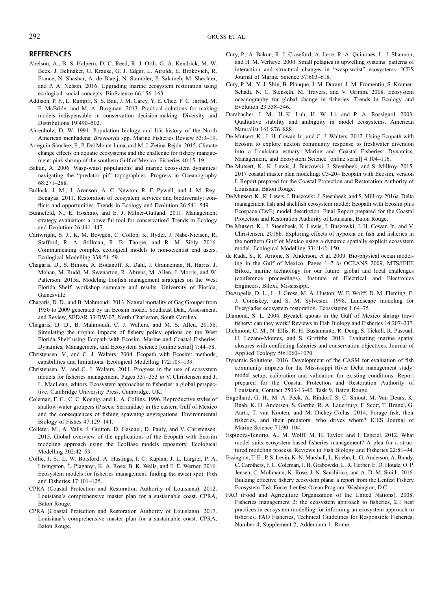#### **REFERENCES**

- <span id="page-13-1"></span>Abelson, A., B. S. Halpern, D. C. Reed, R. J. Orth, G. A. Kendrick, M. W. Beck, J. Belmaker, G. Krause, G. J. Edgar, L. Airoldi, E. Brokovich, R. France, N. Shashar, A. de Blaeij, N. Stambler, P. Salameh, M. Shechter, and P. A. Nelson. 2016. Upgrading marine ecosystem restoration using ecological–social concepts. BioScience 66:156–163.
- <span id="page-13-11"></span>Addison, P. F., L. Rumpff, S. S. Bau, J. M. Carey, Y. E. Chee, F. C. Jarrad, M. F. McBride, and M. A. Burgman. 2013. Practical solutions for making models indispensable in conservation decision-making. Diversity and Distributions 19:490–502.
- <span id="page-13-27"></span>Ahrenholz, D. W. 1991. Population biology and life history of the North American menhadens, Brevoortia spp. Marine Fisheries Review 53:3–19.
- <span id="page-13-16"></span>Arreguín-Sánchez, F., P. Del Monte-Luna, and M. J. Zetina-Rejón. 2015. Climate change effects on aquatic ecosystems and the challenge for fishery management: pink shrimp of the southern Gulf of Mexico. Fisheries 40:15–19.
- <span id="page-13-30"></span>Bakun, A. 2006. Wasp-waist populations and marine ecosystem dynamics: navigating the "predator pit" topographies. Progress in Oceanography 68:271–288.
- <span id="page-13-0"></span>Bullock, J. M., J. Aronson, A. C. Newton, R. F. Pywell, and J. M. Rey-Benayas. 2011. Restoration of ecosystem services and biodiversity: conflicts and opportunities. Trends in Ecology and Evolution 26:541–549.
- <span id="page-13-19"></span>Bunnefeld, N., E. Hoshino, and E. J. Milner-Gulland. 2011. Management strategy evaluation: a powerful tool for conservation? Trends in Ecology and Evolution 26:441–447.
- <span id="page-13-12"></span>Cartwright, S. J., K. M. Bowgen, C. Collop, K. Hyder, J. Nabe-Nielsen, R. Stafford, R. A. Stillman, R. B. Thorpe, and R. M. Sibly. 2016. Communicating complex ecological models to non-scientist end users. Ecological Modelling 338:51–59.
- <span id="page-13-24"></span>Chagaris, D., S. Binion, A. Bodanoff, K. Dahl, J. Granneman, H. Harris, J. Mohan, M. Rudd, M. Swenarton, R. Ahrens, M. Allen, J. Morris, and W. Patterson. 2015a. Modeling lionfish management strategies on the West Florida Shelf: workshop summary and results. University of Florida, Gainesville.
- <span id="page-13-18"></span>Chagaris, D. D., and B. Mahmoudi. 2013. Natural mortality of Gag Grouper from 1950 to 2009 generated by an Ecosim model. Southeast Data, Assessment, and Review, SEDAR 33-DW-07, North Charleston, South Carolina.
- <span id="page-13-14"></span>Chagaris, D. D., B. Mahmoudi, C. J. Walters, and M. S. Allen. 2015b. Simulating the trophic impacts of fishery policy options on the West Florida Shelf using Ecopath with Ecosim. Marine and Coastal Fisheries: Dynamics, Management, and Ecosystem Science [online serial] 7:44–58.
- <span id="page-13-6"></span>Christensen, V., and C. J. Walters. 2004. Ecopath with Ecosim: methods, capabilities and limitations. Ecological Modelling 172:109–139.
- <span id="page-13-17"></span>Christensen, V., and C. J. Walters. 2011. Progress in the use of ecosystem models for fisheries management. Pages 337–353 in V. Christensen and J. L. MacLean, editors. Ecosystem approaches to fisheries: a global perspective. Cambridge University Press, Cambridge, UK.
- <span id="page-13-23"></span>Coleman, F. C., C. C. Koenig, and L. A. Collins. 1996. Reproductive styles of shallow-water groupers (Pisces: Serranidae) in the eastern Gulf of Mexico and the consequences of fishing spawning aggregations. Environmental Biology of Fishes 47:129–141.
- <span id="page-13-22"></span>Colléter, M., A. Valls, J. Guitton, D. Gascuel, D. Pauly, and V. Christensen. 2015. Global overview of the applications of the Ecopath with Ecosim modeling approach using the EcoBase models repository. Ecological Modelling 302:42–53.
- <span id="page-13-13"></span>Collie, J. S., L. W. Botsford, A. Hastings, I. C. Kaplan, J. L. Largier, P. A. Livingston, É. Plagányi, K. A. Rose, B. K. Wells, and F. E. Werner. 2016. Ecosystem models for fisheries management: finding the sweet spot. Fish and Fisheries 17:101–125.
- <span id="page-13-4"></span>CPRA (Coastal Protection and Restoration Authority of Louisiana). 2012. Louisiana's comprehensive master plan for a sustainable coast. CPRA, Baton Rouge.
- <span id="page-13-21"></span>CPRA (Coastal Protection and Restoration Authority of Louisiana). 2017. Louisiana's comprehensive master plan for a sustainable coast. CPRA, Baton Rouge.
- <span id="page-13-29"></span>Cury, P., A. Bakun, R. J. Crawford, A. Jarre, R. A. Quinones, L. J. Shannon, and H. M. Verheye. 2000. Small pelagics in upwelling systems: patterns of interaction and structural changes in "wasp-waist" ecosystems. ICES Journal of Marine Science 57:603–618.
- <span id="page-13-31"></span>Cury, P. M., Y.-J. Shin, B. Planque, J. M. Durant, J.-M. Fromentin, S. Kramer-Schadt, N. C. Stenseth, M. Travers, and V. Grimm. 2008. Ecosystem oceanography for global change in fisheries. Trends in Ecology and Evolution 23:338–346.
- <span id="page-13-7"></span>Dambacher, J. M., H.-K. Luh, H. W. Li, and P. A. Rossignol. 2003. Qualitative stability and ambiguity in model ecosystems. American Naturalist 161:876–888.
- <span id="page-13-32"></span>De Mutsert, K., J. H. Cowan Jr., and C. J. Walters. 2012. Using Ecopath with Ecosim to explore nekton community response to freshwater diversion into a Louisiana estuary. Marine and Coastal Fisheries: Dynamics, Management, and Ecosystem Science [online serial] 4:104–116.
- <span id="page-13-8"></span>De Mutsert, K., K. Lewis, J. Buszowki, J. Steenbeek, and S. Millroy. 2015. 2017 coastal master plan modeling: C3-20– Ecopath with Ecosim, version I. Report prepared for the Coastal Protection and Restoration Authority of Louisiana, Baton Rouge.
- <span id="page-13-25"></span>De Mutsert, K., K. Lewis, J. Buszowki, J. Steenbeek, and S. Millroy. 2016a. Delta management fish and shellfish ecosystem model: Ecopath with Ecosim plus Ecospace (EwE) model description. Final Report prepared for the Coastal Protection and Restoration Authority of Louisiana, Baton Rouge.
- <span id="page-13-9"></span>De Mutsert, K., J. Steenbeek, K. Lewis, J. Buszowki, J. H. Cowan Jr., and V. Christensen. 2016b. Exploring effects of hypoxia on fish and fisheries in the northern Gulf of Mexico using a dynamic spatially explicit ecosystem model. Ecological Modelling 331:142–150.
- <span id="page-13-33"></span>de Rada, S., R. Arnone, S. Anderson, et al. 2009. Bio-physical ocean modeling in the Gulf of Mexico. Pages 1–7 in OCEANS 2009, MTS/IEEE Biloxi, marine technology for our future: global and local challenges (conference proceedings). Institute of Electrical and Electronics Engineers, Biloxi, Mississippi.
- <span id="page-13-15"></span>DeAngelis, D. L., L. J. Gross, M. A. Huston, W. F. Wolff, D. M. Fleming, E. J. Comiskey, and S. M. Sylvester. 1998. Landscape modeling for Everglades ecosystem restoration. Ecosystems 1:64–75.
- <span id="page-13-2"></span>Diamond, S. L. 2004. Bycatch quotas in the Gulf of Mexico shrimp trawl fishery: can they work? Reviews in Fish Biology and Fisheries 14:207–237.
- <span id="page-13-20"></span>Dichmont, C. M., N. Ellis, R. H. Bustamante, R. Deng, S. Tickell, R. Pascual, H. Lozano-Montes, and S. Griffiths. 2013. Evaluating marine spatial closures with conflicting fisheries and conservation objectives. Journal of Applied Ecology 50:1060–1070.
- <span id="page-13-26"></span>Dynamic Solutions. 2016. Development of the CASM for evaluation of fish community impacts for the Mississippi River Delta management study: model setup, calibration and validation for existing conditions. Report prepared for the Coastal Protection and Restoration Authority of Louisiana, Contract 2503-13-42, Task 9, Baton Rouge.
- <span id="page-13-28"></span>Engelhard, G. H., M. A. Peck, A. Rindorf, S. C. Smout, M. Van Deurs, K. Raab, K. H. Andersen, S. Garthe, R. A. Lauerburg, F. Scott, T. Brunel, G. Aarts, T. van Kooten, and M. Dickey-Collas. 2014. Forage fish, their fisheries, and their predators: who drives whom? ICES Journal of Marine Science 71:90–104.
- <span id="page-13-5"></span>Espinoza-Tenorio, A., M. Wolff, M. H. Taylor, and I. Espejel. 2012. What model suits ecosystem-based fisheries management? A plea for a structured modeling process. Reviews in Fish Biology and Fisheries 22:81–94.
- <span id="page-13-3"></span>Essington, T. E., P. S. Levin, K. N. Marshall, L. Koehn, L. G. Anderson, A. Bundy, C. Carothers, F. C. Coleman, J. H. Grabowski, L. R. Gerber, E. D. Houde, O. P. Jensen, C. Mollmann, K. Rose, J. N. Sanchirico, and A. D. M. Smith. 2016. Building effective fishery ecosystem plans: a report from the Lenfest Fishery Ecosystem Task Force. Lenfest Ocean Program, Washington, D.C.
- <span id="page-13-10"></span>FAO (Food and Agriculture Organization of the United Nations). 2008. Fisheries management 2: the ecosystem approach to fisheries, 2.1 best practices in ecosystem modelling for informing an ecosystem approach to fisheries. FAO Fisheries, Technical Guidelines for Responsible Fisheries, Number 4, Supplement 2, Addendum 1, Rome.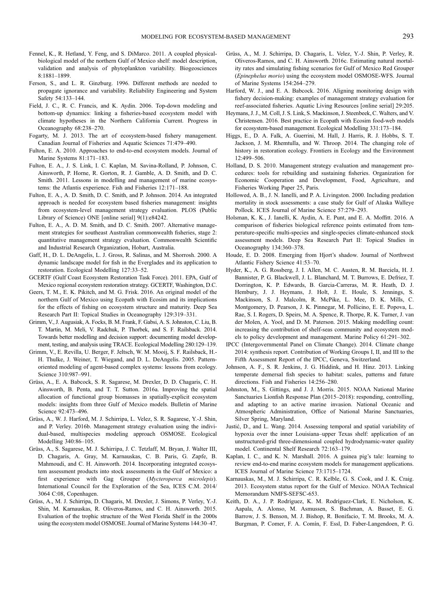- <span id="page-14-29"></span>Fennel, K., R. Hetland, Y. Feng, and S. DiMarco. 2011. A coupled physicalbiological model of the northern Gulf of Mexico shelf: model description, validation and analysis of phytoplankton variability. Biogeosciences 8:1881–1899.
- <span id="page-14-22"></span>Ferson, S., and L. R. Ginzburg. 1996. Different methods are needed to propagate ignorance and variability. Reliability Engineering and System Safety 54:133–144.
- <span id="page-14-26"></span>Field, J. C., R. C. Francis, and K. Aydin. 2006. Top-down modeling and bottom-up dynamics: linking a fisheries-based ecosystem model with climate hypotheses in the Northern California Current. Progress in Oceanography 68:238–270.
- <span id="page-14-2"></span>Fogarty, M. J. 2013. The art of ecosystem-based fishery management. Canadian Journal of Fisheries and Aquatic Sciences 71:479–490.
- <span id="page-14-9"></span>Fulton, E. A. 2010. Approaches to end-to-end ecosystem models. Journal of Marine Systems 81:171–183.
- <span id="page-14-8"></span>Fulton, E. A., J. S. Link, I. C. Kaplan, M. Savina-Rolland, P. Johnson, C. Ainsworth, P. Horne, R. Gorton, R. J. Gamble, A. D. Smith, and D. C. Smith. 2011. Lessons in modelling and management of marine ecosystems: the Atlantis experience. Fish and Fisheries 12:171–188.
- <span id="page-14-16"></span>Fulton, E. A., A. D. Smith, D. C. Smith, and P. Johnson. 2014. An integrated approach is needed for ecosystem based fisheries management: insights from ecosystem-level management strategy evaluation. PLOS (Public Library of Science) ONE [online serial] 9(1):e84242.
- <span id="page-14-7"></span>Fulton, E. A., A. D. M. Smith, and D. C. Smith. 2007. Alternative management strategies for southeast Australian commonwealth fisheries, stage 2: quantitative management strategy evaluation. Commonwealth Scientific and Industrial Research Organization, Hobart, Australia.
- <span id="page-14-5"></span>Gaff, H., D. L. DeAngelis, L. J. Gross, R. Salinas, and M. Shorrosh. 2000. A dynamic landscape model for fish in the Everglades and its application to restoration. Ecological Modelling 127:33–52.
- <span id="page-14-4"></span>GCERTF (Gulf Coast Ecosystem Restoration Task Force). 2011. EPA, Gulf of Mexico regional ecosystem restoration strategy. GCERTF, Washington, D.C.
- <span id="page-14-25"></span>Geers, T. M., E. K. Pikitch, and M. G. Frisk. 2016. An original model of the northern Gulf of Mexico using Ecopath with Ecosim and its implications for the effects of fishing on ecosystem structure and maturity. Deep Sea Research Part II: Topical Studies in Oceanography 129:319–331.
- <span id="page-14-20"></span>Grimm, V., J. Augusiak, A. Focks, B. M. Frank, F. Gabsi, A. S. Johnston, C. Liu, B. T. Martin, M. Meli, V. Radchuk, P. Thorbek, and S. F. Railsback. 2014. Towards better modelling and decision support: documenting model development, testing, and analysis using TRACE. Ecological Modelling 280:129–139.
- <span id="page-14-19"></span>Grimm, V., E. Revilla, U. Berger, F. Jeltsch, W. M. Mooij, S. F. Railsback, H.- H. Thulke, J. Weiner, T. Wiegand, and D. L. DeAngelis. 2005. Patternoriented modeling of agent-based complex systems: lessons from ecology. Science 310:987–991.
- <span id="page-14-32"></span>Grüss, A., E. A. Babcock, S. R. Sagarese, M. Drexler, D. D. Chagaris, C. H. Ainsworth, B. Penta, and T. T. Sutton. 2016a. Improving the spatial allocation of functional group biomasses in spatially-explicit ecosystem models: insights from three Gulf of Mexico models. Bulletin of Marine Science 92:473–496.
- <span id="page-14-17"></span>Grüss, A., W. J. Harford, M. J. Schirripa, L. Velez, S. R. Sagarese, Y.-J. Shin, and P. Verley. 2016b. Management strategy evaluation using the individual-based, multispecies modeling approach OSMOSE. Ecological Modelling 340:86–105.
- <span id="page-14-23"></span>Grüss, A., S. Sagarese, M. J. Schirripa, J. C. Tetzlaff, M. Bryan, J. Walter III, D. Chagaris, A. Gray, M. Karnauskas, C. B. Paris, G. Zapfe, B. Mahmoudi, and C. H. Ainsworth. 2014. Incorporating integrated ecosystem assessment products into stock assessments in the Gulf of Mexico: a first experience with Gag Grouper (Mycteroperca microlepis). International Council for the Exploration of the Sea, ICES C.M. 2014/ 3064 C:08, Copenhagen.
- <span id="page-14-14"></span>Grüss, A., M. J. Schirripa, D. Chagaris, M. Drexler, J. Simons, P. Verley, Y.-J. Shin, M. Karnauskas, R. Oliveros-Ramos, and C. H. Ainsworth. 2015. Evaluation of the trophic structure of the West Florida Shelf in the 2000s using the ecosystem model OSMOSE. Journal of Marine Systems 144:30–47.
- <span id="page-14-11"></span>Grüss, A., M. J. Schirripa, D. Chagaris, L. Velez, Y.-J. Shin, P. Verley, R. Oliveros-Ramos, and C. H. Ainsworth. 2016c. Estimating natural mortality rates and simulating fishing scenarios for Gulf of Mexico Red Grouper (Epinephelus morio) using the ecosystem model OSMOSE-WFS. Journal of Marine Systems 154:264–279.
- <span id="page-14-18"></span>Harford, W. J., and E. A. Babcock. 2016. Aligning monitoring design with fishery decision-making: examples of management strategy evaluation for reef-associated fisheries. Aquatic Living Resources [online serial] 29:205.
- <span id="page-14-3"></span>Heymans, J. J., M. Coll, J. S. Link, S. Mackinson, J. Steenbeek, C. Walters, and V. Christensen. 2016. Best practice in Ecopath with Ecosim food-web models for ecosystem-based management. Ecological Modelling 331:173–184.
- <span id="page-14-21"></span>Higgs, E., D. A. Falk, A. Guerrini, M. Hall, J. Harris, R. J. Hobbs, S. T. Jackson, J. M. Rhemtulla, and W. Throop. 2014. The changing role of history in restoration ecology. Frontiers in Ecology and the Environment 12:499–506.
- <span id="page-14-15"></span>Holland, D. S. 2010. Management strategy evaluation and management procedures: tools for rebuilding and sustaining fisheries. Organization for Economic Cooperation and Development, Food, Agriculture, and Fisheries Working Paper 25, Paris.
- <span id="page-14-6"></span>Hollowed, A. B., J. N. Ianelli, and P. A. Livingston. 2000. Including predation mortality in stock assessments: a case study for Gulf of Alaska Walleye Pollock. ICES Journal of Marine Science 57:279–293.
- <span id="page-14-12"></span>Holsman, K. K., J. Ianelli, K. Aydin, A. E. Punt, and E. A. Moffitt. 2016. A comparison of fisheries biological reference points estimated from temperature-specific multi-species and single-species climate-enhanced stock assessment models. Deep Sea Research Part II: Topical Studies in Oceanography 134:360–378.
- <span id="page-14-27"></span>Houde, E. D. 2008. Emerging from Hjort's shadow. Journal of Northwest Atlantic Fishery Science 41:53–70.
- <span id="page-14-13"></span>Hyder, K., A. G. Rossberg, J. I. Allen, M. C. Austen, R. M. Barciela, H. J. Bannister, P. G. Blackwell, J. L. Blanchard, M. T. Burrows, E. Defriez, T. Dorrington, K. P. Edwards, B. Garcia-Carreras, M. R. Heath, D. J. Hembury, J. J. Heymans, J. Holt, J. E. Houle, S. Jennings, S. Mackinson, S. J. Malcolm, R. McPike, L. Mee, D. K. Mills, C. Montgomery, D. Pearson, J. K. Pinnegar, M. Pollicino, E. E. Popova, L. Rae, S. I. Rogers, D. Speirs, M. A. Spence, R. Thorpe, R. K. Turner, J. van der Molen, A. Yool, and D. M. Paterson. 2015. Making modelling count: increasing the contribution of shelf-seas community and ecosystem models to policy development and management. Marine Policy 61:291–302.
- <span id="page-14-31"></span>IPCC (Intergovernmental Panel on Climate Change). 2014. Climate change 2014: synthesis report. Contribution of Working Groups I, II, and III to the Fifth Assessment Report of the IPCC, Geneva, Switzerland.
- <span id="page-14-28"></span>Johnson, A. F., S. R. Jenkins, J. G. Hiddink, and H. Hinz. 2013. Linking temperate demersal fish species to habitat: scales, patterns and future directions. Fish and Fisheries 14:256–280.
- <span id="page-14-24"></span>Johnston, M., S. Gittings, and J. J. Morris. 2015. NOAA National Marine Sanctuaries Lionfish Response Plan (2015–2018): responding, controlling, and adapting to an active marine invasion. National Oceanic and Atmospheric Administration, Office of National Marine Sanctuaries, Silver Spring, Maryland.
- <span id="page-14-30"></span>Justić, D., and L. Wang. 2014. Assessing temporal and spatial variability of hypoxia over the inner Louisiana–upper Texas shelf: application of an unstructured-grid three-dimensional coupled hydrodynamic-water quality model. Continental Shelf Research 72:163–179.
- <span id="page-14-10"></span>Kaplan, I. C., and K. N. Marshall. 2016. A guinea pig's tale: learning to review end-to-end marine ecosystem models for management applications. ICES Journal of Marine Science 73:1715–1724.
- <span id="page-14-0"></span>Karnauskas, M., M. J. Schirripa, C. R. Kelble, G. S. Cook, and J. K. Craig. 2013. Ecosystem status report for the Gulf of Mexico. NOAA Technical Memorandum NMFS-SEFSC-653.
- <span id="page-14-1"></span>Keith, D. A., J. P. Rodríguez, K. M. Rodríguez-Clark, E. Nicholson, K. Aapala, A. Alonso, M. Asmussen, S. Bachman, A. Basset, E. G. Barrow, J. S. Benson, M. J. Bishop, R. Bonifacio, T. M. Brooks, M. A. Burgman, P. Comer, F. A. Comín, F. Essl, D. Faber-Langendoen, P. G.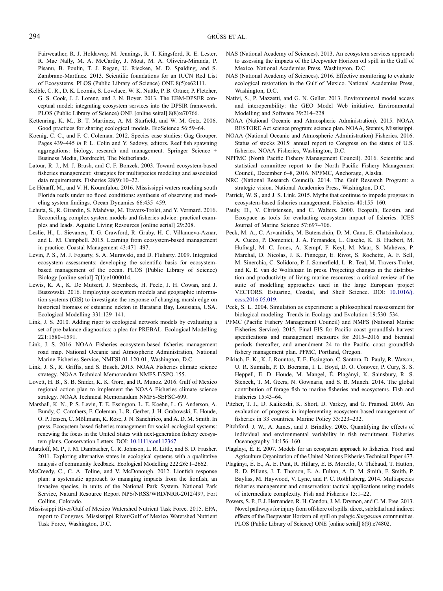Fairweather, R. J. Holdaway, M. Jennings, R. T. Kingsford, R. E. Lester, R. Mac Nally, M. A. McCarthy, J. Moat, M. A. Oliveira-Miranda, P. Pisanu, B. Poulin, T. J. Regan, U. Riecken, M. D. Spalding, and S. Zambrano-Martínez. 2013. Scientific foundations for an IUCN Red List of Ecosystems. PLOS (Public Library of Science) ONE 8(5):e62111.

- <span id="page-15-9"></span>Kelble, C. R., D. K. Loomis, S. Lovelace, W. K. Nuttle, P. B. Ortner, P. Fletcher, G. S. Cook, J. J. Lorenz, and J. N. Boyer. 2013. The EBM-DPSER conceptual model: integrating ecosystem services into the DPSIR framework. PLOS (Public Library of Science) ONE [online seiral] 8(8):e70766.
- <span id="page-15-18"></span>Kettenring, K. M., B. T. Martinez, A. M. Starfield, and W. M. Getz. 2006. Good practices for sharing ecological models. BioScience 56:59–64.
- <span id="page-15-24"></span>Koenig, C. C., and F. C. Coleman. 2012. Species case studies: Gag Grouper. Pages 439–445 in P. L. Colin and Y. Sadovy, editors. Reef fish spawning aggregations: biology, research and management. Springer Science + Business Media, Dordrecht, The Netherlands.
- <span id="page-15-20"></span>Latour, R. J., M. J. Brush, and C. F. Bonzek. 2003. Toward ecosystem-based fisheries management: strategies for multispecies modeling and associated data requirements. Fisheries 28(9):10–22.
- <span id="page-15-32"></span>Le Hénaff, M., and V. H. Kourafalou. 2016. Mississippi waters reaching south Florida reefs under no flood conditions: synthesis of observing and modeling system findings. Ocean Dynamics 66:435–459.
- <span id="page-15-1"></span>Lehuta, S., R. Girardin, S. Mahévas, M. Travers-Trolet, and Y. Vermard. 2016. Reconciling complex system models and fisheries advice: practical examples and leads. Aquatic Living Resources [online serial] 29:208.
- <span id="page-15-16"></span>Leslie, H., L. Sievanen, T. G. Crawford, R. Gruby, H. C. Villanueva-Aznar, and L. M. Campbell. 2015. Learning from ecosystem-based management in practice. Coastal Management 43:471–497.
- <span id="page-15-33"></span>Levin, P. S., M. J. Fogarty, S. A. Murawski, and D. Fluharty. 2009. Integrated ecosystem assessments: developing the scientific basis for ecosystembased management of the ocean. PLOS (Public Library of Science) Biology [online serial] 7(1):e1000014.
- <span id="page-15-11"></span>Lewis, K. A., K. De Mutsert, J. Steenbeek, H. Peele, J. H. Cowan, and J. Buszowski. 2016. Employing ecosystem models and geographic information systems (GIS) to investigate the response of changing marsh edge on historical biomass of estuarine nekton in Barataria Bay, Louisiana, USA. Ecological Modelling 331:129–141.
- <span id="page-15-21"></span>Link, J. S. 2010. Adding rigor to ecological network models by evaluating a set of pre-balance diagnostics: a plea for PREBAL. Ecological Modelling 221:1580–1591.
- <span id="page-15-3"></span>Link, J. S. 2016. NOAA Fisheries ecosystem-based fisheries management road map. National Oceanic and Atmospheric Administration, National Marine Fisheries Service, NMFSI-01-120-01, Washington, D.C.
- <span id="page-15-27"></span>Link, J. S., R. Griffis, and S. Busch. 2015. NOAA Fisheries climate science strategy. NOAA Technical Memorandum NMFS-F/SPO-155.
- <span id="page-15-28"></span>Lovett, H. B., S. B. Snider, K. K. Gore, and R. Munoz. 2016. Gulf of Mexico regional action plan to implement the NOAA Fisheries climate science strategy. NOAA Technical Memorandum NMFS-SEFSC-699.
- <span id="page-15-4"></span>Marshall, K. N., P. S. Levin, T. E. Essington, L. E. Koehn, L. G. Anderson, A. Bundy, C. Carothers, F. Coleman, L. R. Gerber, J. H. Grabowski, E. Houde, O. P. Jensen, C. Möllmann, K. Rose, J. N. Sanchirico, and A. D. M. Smith. In press. Ecosystem-based fisheries management for social-ecological systems: renewing the focus in the United States with next-generation fishery ecosystem plans. Conservation Letters. DOI: [10.1111/conl.12367](http://dx.doi.org/10.1111/conl.12367).
- <span id="page-15-10"></span>Marzloff, M. P., J. M. Dambacher, C. R. Johnson, L. R. Little, and S. D. Frusher. 2011. Exploring alternative states in ecological systems with a qualitative analysis of community feedback. Ecological Modelling 222:2651–2662.
- <span id="page-15-5"></span>McCreedy, C., C. A. Toline, and V. McDonough. 2012. Lionfish response plan: a systematic approach to managing impacts from the lionfish, an invasive species, in units of the National Park System. National Park Service, Natural Resource Report NPS/NRSS/WRD/NRR-2012/497, Fort Collins, Colorado.
- <span id="page-15-31"></span>Mississippi River/Gulf of Mexico Watershed Nutrient Task Force. 2015. EPA, report to Congress. Mississippi River/Gulf of Mexico Watershed Nutrient Task Force, Washington, D.C.
- <span id="page-15-2"></span>NAS (National Academy of Sciences). 2013. An ecosystem services approach to assessing the impacts of the Deepwater Horizon oil spill in the Gulf of Mexico. National Academies Press, Washington, D.C.
- <span id="page-15-6"></span>NAS (National Academy of Sciences). 2016. Effective monitoring to evaluate ecological restoration in the Gulf of Mexico. National Academies Press, Washington, D.C.
- <span id="page-15-23"></span>Nativi, S., P. Mazzetti, and G. N. Geller. 2013. Environmental model access and interoperability: the GEO Model Web initiative. Environmental Modelling and Software 39:214–228.
- <span id="page-15-13"></span>NOAA (National Oceanic and Atmospheric Administration). 2015. NOAA RESTORE Act science program: science plan. NOAA, Stennis, Mississippi.
- <span id="page-15-25"></span>NOAA (National Oceanic and Atmospheric Administration) Fisheries. 2016. Status of stocks 2015: annual report to Congress on the status of U.S. fisheries. NOAA Fisheries, Washington, D.C.
- <span id="page-15-14"></span>NPFMC (North Pacific Fishery Management Council). 2016. Scientific and statistical committee report to the North Pacific Fishery Management Council, December 6–8, 2016. NPFMC, Anchorage, Alaska.
- <span id="page-15-12"></span>NRC (National Research Council). 2014. The Gulf Research Program: a strategic vision. National Academies Press, Washington, D.C.
- <span id="page-15-0"></span>Patrick, W. S., and J. S. Link. 2015. Myths that continue to impede progress in ecosystem-based fisheries management. Fisheries 40:155–160.
- <span id="page-15-8"></span>Pauly, D., V. Christensen, and C. Walters. 2000. Ecopath, Ecosim, and Ecospace as tools for evaluating ecosystem impact of fisheries. ICES Journal of Marine Science 57:697–706.
- <span id="page-15-19"></span>Peck, M. A., C. Arvanitidis, M. Butenschön, D. M. Canu, E. Chatzinikolaou, A. Cucco, P. Domenici, J. A. Fernandes, L. Gasche, K. B. Huebert, M. Hufnagl, M. C. Jones, A. Kempf, F. Keyl, M. Maar, S. Mahévas, P. Marchal, D. Nicolas, J. K. Pinnegar, E. Rivot, S. Rochette, A. F. Sell, M. Sinerchia, C. Solidoro, P. J. Somerfield, L. R. Teal, M. Travers-Trolet, and K. E. van de Wolfshaar. In press. Projecting changes in the distribution and productivity of living marine resources: a critical review of the suite of modelling approaches used in the large European project VECTORS. Estuarine, Coastal, and Shelf Science. DOI: [10.1016/j.](http://dx.doi.org/10.1016/j.ecss.2016.05.019) [ecss.2016.05.019](http://dx.doi.org/10.1016/j.ecss.2016.05.019).
- <span id="page-15-17"></span>Peck, S. L. 2004. Simulation as experiment: a philosophical reassessment for biological modeling. Trends in Ecology and Evolution 19:530–534.
- PFMC (Pacific Fishery Management Council) and NMFS (National Marine Fisheries Service). 2015. Final EIS for Pacific coast groundfish harvest specifications and management measures for 2015–2016 and biennial periods thereafter, and amendment 24 to the Pacific coast groundfish fishery management plan. PFMC, Portland, Oregon.
- <span id="page-15-29"></span>Pikitch, E. K., K. J. Rountos, T. E. Essington, C. Santora, D. Pauly, R. Watson, U. R. Sumaila, P. D. Boersma, I. L. Boyd, D. O. Conover, P. Cury, S. S. Heppell, E. D. Houde, M. Mangel, É. Plagányi, K. Sainsbury, R. S. Steneck, T. M. Geers, N. Gownaris, and S. B. Munch. 2014. The global contribution of forage fish to marine fisheries and ecosystems. Fish and Fisheries 15:43–64.
- <span id="page-15-15"></span>Pitcher, T. J., D. Kalikoski, K. Short, D. Varkey, and G. Pramod. 2009. An evaluation of progress in implementing ecosystem-based management of fisheries in 33 countries. Marine Policy 33:223–232.
- <span id="page-15-30"></span>Pitchford, J. W., A. James, and J. Brindley. 2005. Quantifying the effects of individual and environmental variability in fish recruitment. Fisheries Oceanography 14:156–160.
- <span id="page-15-7"></span>Plagányi, É. E. 2007. Models for an ecosystem approach to fisheries. Food and Agriculture Organization of the United Nations Fisheries Technical Paper 477.
- <span id="page-15-22"></span>Plagányi, É. E., A. E. Punt, R. Hillary, E. B. Morello, O. Thébaud, T. Hutton, R. D. Pillans, J. T. Thorson, E. A. Fulton, A. D. M. Smith, F. Smith, P. Bayliss, M. Haywood, V. Lyne, and P. C. Rothlisberg. 2014. Multispecies fisheries management and conservation: tactical applications using models of intermediate complexity. Fish and Fisheries 15:1–22.
- <span id="page-15-26"></span>Powers, S. P., F. J. Hernandez, R. H. Condon, J. M. Drymon, and C. M. Free. 2013. Novel pathways for injury from offshore oil spills: direct, sublethal and indirect effects of the Deepwater Horizon oil spill on pelagic Sargassum communities. PLOS (Public Library of Science) ONE [online serial] 8(9):e74802.